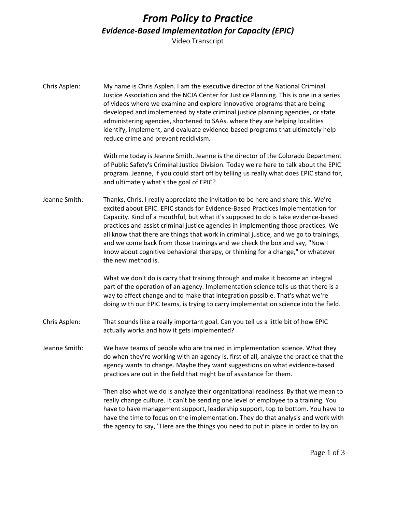## *From Policy to Practice Evidence-Based Implementation for Capacity (EPIC)*

Video Transcript

Chris Asplen: My name is Chris Asplen. I am the executive director of the National Criminal Justice Association and the NCJA Center for Justice Planning. This is one in a series of videos where we examine and explore innovative programs that are being developed and implemented by state criminal justice planning agencies, or state administering agencies, shortened to SAAs, where they are helping localities identify, implement, and evaluate evidence-based programs that ultimately help reduce crime and prevent recidivism.

> With me today is Jeanne Smith. Jeanne is the director of the Colorado Department of Public Safety's Criminal Justice Division. Today we're here to talk about the EPIC program. Jeanne, if you could start off by telling us really what does EPIC stand for, and ultimately what's the goal of EPIC?

Jeanne Smith: Thanks, Chris. I really appreciate the invitation to be here and share this. We're excited about EPIC. EPIC stands for Evidence-Based Practices Implementation for Capacity. Kind of a mouthful, but what it's supposed to do is take evidence-based practices and assist criminal justice agencies in implementing those practices. We all know that there are things that work in criminal justice, and we go to trainings, and we come back from those trainings and we check the box and say, "Now I know about cognitive behavioral therapy, or thinking for a change," or whatever the new method is.

> What we don't do is carry that training through and make it become an integral part of the operation of an agency. Implementation science tells us that there is a way to affect change and to make that integration possible. That's what we're doing with our EPIC teams, is trying to carry implementation science into the field.

- Chris Asplen: That sounds like a really important goal. Can you tell us a little bit of how EPIC actually works and how it gets implemented?
- Jeanne Smith: We have teams of people who are trained in implementation science. What they do when they're working with an agency is, first of all, analyze the practice that the agency wants to change. Maybe they want suggestions on what evidence-based practices are out in the field that might be of assistance for them.

Then also what we do is analyze their organizational readiness. By that we mean to really change culture. It can't be sending one level of employee to a training. You have to have management support, leadership support, top to bottom. You have to have the time to focus on the implementation. They do that analysis and work with the agency to say, "Here are the things you need to put in place in order to lay on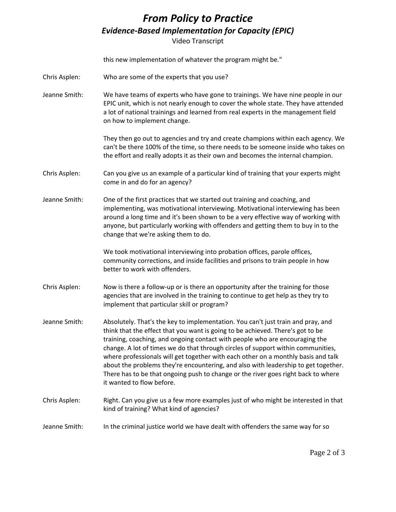## *From Policy to Practice Evidence-Based Implementation for Capacity (EPIC)*

Video Transcript

|               | this new implementation of whatever the program might be."                                                                                                                                                                                                                                                                                                                                                                                                                                                                                                                                                                         |
|---------------|------------------------------------------------------------------------------------------------------------------------------------------------------------------------------------------------------------------------------------------------------------------------------------------------------------------------------------------------------------------------------------------------------------------------------------------------------------------------------------------------------------------------------------------------------------------------------------------------------------------------------------|
| Chris Asplen: | Who are some of the experts that you use?                                                                                                                                                                                                                                                                                                                                                                                                                                                                                                                                                                                          |
| Jeanne Smith: | We have teams of experts who have gone to trainings. We have nine people in our<br>EPIC unit, which is not nearly enough to cover the whole state. They have attended<br>a lot of national trainings and learned from real experts in the management field<br>on how to implement change.                                                                                                                                                                                                                                                                                                                                          |
|               | They then go out to agencies and try and create champions within each agency. We<br>can't be there 100% of the time, so there needs to be someone inside who takes on<br>the effort and really adopts it as their own and becomes the internal champion.                                                                                                                                                                                                                                                                                                                                                                           |
| Chris Asplen: | Can you give us an example of a particular kind of training that your experts might<br>come in and do for an agency?                                                                                                                                                                                                                                                                                                                                                                                                                                                                                                               |
| Jeanne Smith: | One of the first practices that we started out training and coaching, and<br>implementing, was motivational interviewing. Motivational interviewing has been<br>around a long time and it's been shown to be a very effective way of working with<br>anyone, but particularly working with offenders and getting them to buy in to the<br>change that we're asking them to do.                                                                                                                                                                                                                                                     |
|               | We took motivational interviewing into probation offices, parole offices,<br>community corrections, and inside facilities and prisons to train people in how<br>better to work with offenders.                                                                                                                                                                                                                                                                                                                                                                                                                                     |
| Chris Asplen: | Now is there a follow-up or is there an opportunity after the training for those<br>agencies that are involved in the training to continue to get help as they try to<br>implement that particular skill or program?                                                                                                                                                                                                                                                                                                                                                                                                               |
| Jeanne Smith: | Absolutely. That's the key to implementation. You can't just train and pray, and<br>think that the effect that you want is going to be achieved. There's got to be<br>training, coaching, and ongoing contact with people who are encouraging the<br>change. A lot of times we do that through circles of support within communities,<br>where professionals will get together with each other on a monthly basis and talk<br>about the problems they're encountering, and also with leadership to get together.<br>There has to be that ongoing push to change or the river goes right back to where<br>it wanted to flow before. |
| Chris Asplen: | Right. Can you give us a few more examples just of who might be interested in that<br>kind of training? What kind of agencies?                                                                                                                                                                                                                                                                                                                                                                                                                                                                                                     |
| Jeanne Smith: | In the criminal justice world we have dealt with offenders the same way for so                                                                                                                                                                                                                                                                                                                                                                                                                                                                                                                                                     |